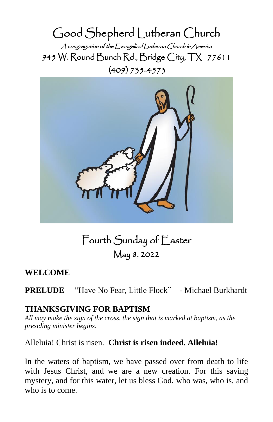Good Shepherd Lutheran Church A congregation of the Evangelical Lutheran Church in America 945 W. Round Bunch Rd., Bridge City, TX 77611 (409) 735-4573



Fourth Sunday of Easter May 8, 2022

# **WELCOME**

**PRELUDE** "Have No Fear, Little Flock" - Michael Burkhardt

# **THANKSGIVING FOR BAPTISM**

*All may make the sign of the cross, the sign that is marked at baptism, as the presiding minister begins.*

Alleluia! Christ is risen. **Christ is risen indeed. Alleluia!**

In the waters of baptism, we have passed over from death to life with Jesus Christ, and we are a new creation. For this saving mystery, and for this water, let us bless God, who was, who is, and who is to come.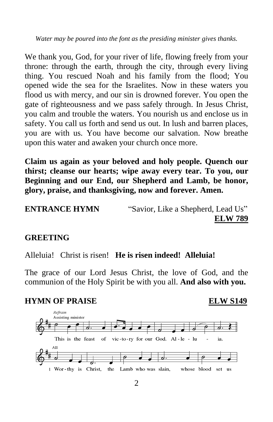*Water may be poured into the font as the presiding minister gives thanks.*

We thank you, God, for your river of life, flowing freely from your throne: through the earth, through the city, through every living thing. You rescued Noah and his family from the flood; You opened wide the sea for the Israelites. Now in these waters you flood us with mercy, and our sin is drowned forever. You open the gate of righteousness and we pass safely through. In Jesus Christ, you calm and trouble the waters. You nourish us and enclose us in safety. You call us forth and send us out. In lush and barren places, you are with us. You have become our salvation. Now breathe upon this water and awaken your church once more.

**Claim us again as your beloved and holy people. Quench our thirst; cleanse our hearts; wipe away every tear. To you, our Beginning and our End, our Shepherd and Lamb, be honor, glory, praise, and thanksgiving, now and forever. Amen.**

**ENTRANCE HYMN** "Savior, Like a Shepherd, Lead Us" **ELW 789**

#### **GREETING**

Alleluia! Christ is risen! **He is risen indeed! Alleluia!** 

The grace of our Lord Jesus Christ, the love of God, and the communion of the Holy Spirit be with you all. **And also with you.**

### **HYMN OF PRAISE ELW S149**

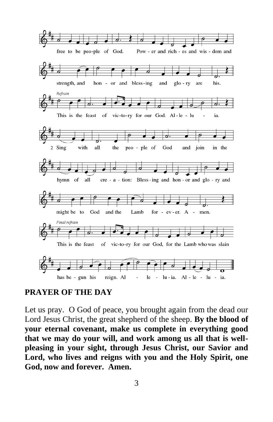

### **PRAYER OF THE DAY**

Let us pray. O God of peace, you brought again from the dead our Lord Jesus Christ, the great shepherd of the sheep. **By the blood of your eternal covenant, make us complete in everything good that we may do your will, and work among us all that is wellpleasing in your sight, through Jesus Christ, our Savior and Lord, who lives and reigns with you and the Holy Spirit, one God, now and forever. Amen.**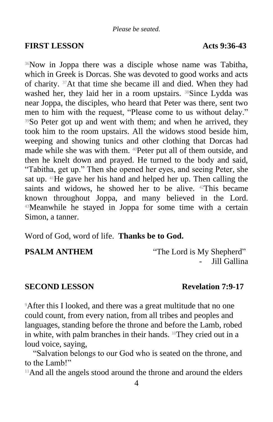## **FIRST LESSON Acts 9:36-43**

<sup>36</sup>Now in Joppa there was a disciple whose name was Tabitha, which in Greek is Dorcas. She was devoted to good works and acts of charity. 37At that time she became ill and died. When they had washed her, they laid her in a room upstairs. <sup>38</sup>Since Lydda was near Joppa, the disciples, who heard that Peter was there, sent two men to him with the request, "Please come to us without delay." <sup>39</sup>So Peter got up and went with them; and when he arrived, they took him to the room upstairs. All the widows stood beside him, weeping and showing tunics and other clothing that Dorcas had made while she was with them. 40Peter put all of them outside, and then he knelt down and prayed. He turned to the body and said, "Tabitha, get up." Then she opened her eyes, and seeing Peter, she sat up. 41He gave her his hand and helped her up. Then calling the saints and widows, he showed her to be alive. <sup>42</sup>This became known throughout Joppa, and many believed in the Lord. <sup>43</sup>Meanwhile he stayed in Joppa for some time with a certain Simon, a tanner.

Word of God, word of life. **Thanks be to God.**

**PSALM ANTHEM** "The Lord is My Shepherd" Jill Gallina

## **SECOND LESSON** Revelation 7:9-17

<sup>9</sup>After this I looked, and there was a great multitude that no one could count, from every nation, from all tribes and peoples and languages, standing before the throne and before the Lamb, robed in white, with palm branches in their hands. <sup>10</sup>They cried out in a loud voice, saying,

"Salvation belongs to our God who is seated on the throne, and to the Lamb!"

 $11$ And all the angels stood around the throne and around the elders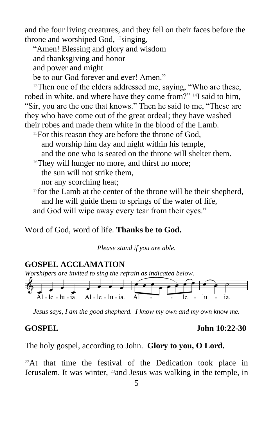and the four living creatures, and they fell on their faces before the throne and worshiped God,  $^{12}$ singing,

"Amen! Blessing and glory and wisdom and thanksgiving and honor and power and might be to our God forever and ever! Amen."

<sup>13</sup>Then one of the elders addressed me, saying, "Who are these, robed in white, and where have they come from?" 14I said to him, "Sir, you are the one that knows." Then he said to me, "These are they who have come out of the great ordeal; they have washed their robes and made them white in the blood of the Lamb.

<sup>15</sup>For this reason they are before the throne of God, and worship him day and night within his temple, and the one who is seated on the throne will shelter them.

<sup>16</sup>They will hunger no more, and thirst no more; the sun will not strike them,

nor any scorching heat;

<sup>17</sup>for the Lamb at the center of the throne will be their shepherd, and he will guide them to springs of the water of life, and God will wipe away every tear from their eyes."

Word of God, word of life. **Thanks be to God.**

*Please stand if you are able.*

## **GOSPEL ACCLAMATION**

*Worshipers are invited to sing the refrain as indicated below.*



*Jesus says, I am the good shepherd. I know my own and my own know me.*

#### **GOSPEL John 10:22-30**

The holy gospel, according to John. **Glory to you, O Lord.**

 $22$ At that time the festival of the Dedication took place in Jerusalem. It was winter, 23and Jesus was walking in the temple, in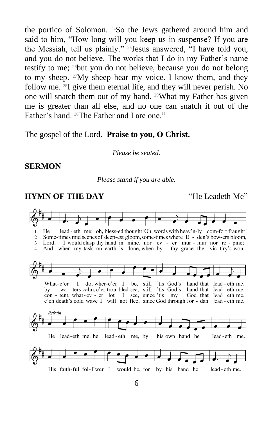the portico of Solomon. 24So the Jews gathered around him and said to him, "How long will you keep us in suspense? If you are the Messiah, tell us plainly." 25Jesus answered, "I have told you, and you do not believe. The works that I do in my Father's name testify to me; 26but you do not believe, because you do not belong to my sheep. 27My sheep hear my voice. I know them, and they follow me. 28I give them eternal life, and they will never perish. No one will snatch them out of my hand. 29What my Father has given me is greater than all else, and no one can snatch it out of the Father's hand. <sup>30</sup>The Father and I are one."

The gospel of the Lord. **Praise to you, O Christ.**

*Please be seated.*

#### **SERMON**

*Please stand if you are able.*

# **HYMN OF THE DAY** "He Leadeth Me"

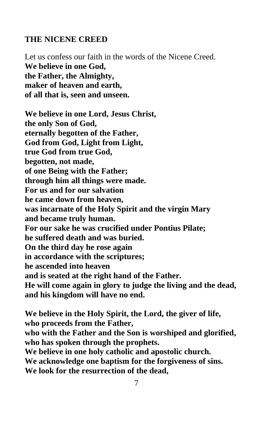#### **THE NICENE CREED**

Let us confess our faith in the words of the Nicene Creed. **We believe in one God, the Father, the Almighty, maker of heaven and earth, of all that is, seen and unseen.**

**We believe in one Lord, Jesus Christ, the only Son of God, eternally begotten of the Father, God from God, Light from Light, true God from true God, begotten, not made, of one Being with the Father; through him all things were made. For us and for our salvation he came down from heaven, was incarnate of the Holy Spirit and the virgin Mary and became truly human. For our sake he was crucified under Pontius Pilate; he suffered death and was buried. On the third day he rose again in accordance with the scriptures; he ascended into heaven and is seated at the right hand of the Father. He will come again in glory to judge the living and the dead, and his kingdom will have no end.**

**We believe in the Holy Spirit, the Lord, the giver of life, who proceeds from the Father, who with the Father and the Son is worshiped and glorified, who has spoken through the prophets. We believe in one holy catholic and apostolic church. We acknowledge one baptism for the forgiveness of sins. We look for the resurrection of the dead,**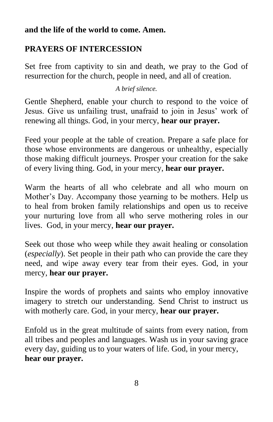## **and the life of the world to come. Amen.**

# **PRAYERS OF INTERCESSION**

Set free from captivity to sin and death, we pray to the God of resurrection for the church, people in need, and all of creation.

*A brief silence.*

Gentle Shepherd, enable your church to respond to the voice of Jesus. Give us unfailing trust, unafraid to join in Jesus' work of renewing all things. God, in your mercy, **hear our prayer.**

Feed your people at the table of creation. Prepare a safe place for those whose environments are dangerous or unhealthy, especially those making difficult journeys. Prosper your creation for the sake of every living thing. God, in your mercy, **hear our prayer.**

Warm the hearts of all who celebrate and all who mourn on Mother's Day. Accompany those yearning to be mothers. Help us to heal from broken family relationships and open us to receive your nurturing love from all who serve mothering roles in our lives. God, in your mercy, **hear our prayer.**

Seek out those who weep while they await healing or consolation (*especially*). Set people in their path who can provide the care they need, and wipe away every tear from their eyes. God, in your mercy, **hear our prayer.**

Inspire the words of prophets and saints who employ innovative imagery to stretch our understanding. Send Christ to instruct us with motherly care. God, in your mercy, **hear our prayer.**

Enfold us in the great multitude of saints from every nation, from all tribes and peoples and languages. Wash us in your saving grace every day, guiding us to your waters of life. God, in your mercy, **hear our prayer.**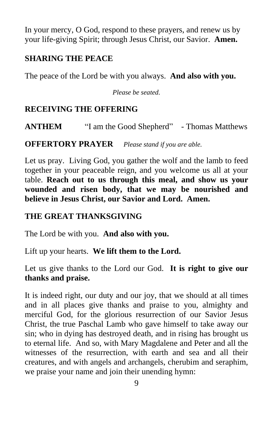In your mercy, O God, respond to these prayers, and renew us by your life-giving Spirit; through Jesus Christ, our Savior. **Amen.**

## **SHARING THE PEACE**

The peace of the Lord be with you always. **And also with you.**

*Please be seated.*

# **RECEIVING THE OFFERING**

**ANTHEM** "I am the Good Shepherd" - Thomas Matthews

**OFFERTORY PRAYER** *Please stand if you are able.*

Let us pray. Living God, you gather the wolf and the lamb to feed together in your peaceable reign, and you welcome us all at your table. **Reach out to us through this meal, and show us your wounded and risen body, that we may be nourished and believe in Jesus Christ, our Savior and Lord. Amen.**

## **THE GREAT THANKSGIVING**

The Lord be with you. **And also with you.**

Lift up your hearts. **We lift them to the Lord.**

Let us give thanks to the Lord our God. **It is right to give our thanks and praise.**

It is indeed right, our duty and our joy, that we should at all times and in all places give thanks and praise to you, almighty and merciful God, for the glorious resurrection of our Savior Jesus Christ, the true Paschal Lamb who gave himself to take away our sin; who in dying has destroyed death, and in rising has brought us to eternal life. And so, with Mary Magdalene and Peter and all the witnesses of the resurrection, with earth and sea and all their creatures, and with angels and archangels, cherubim and seraphim, we praise your name and join their unending hymn: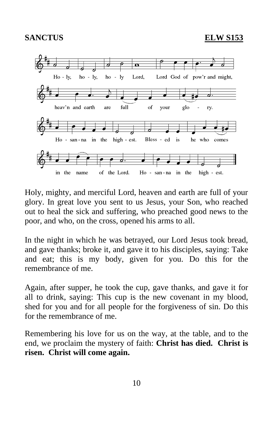## **SANCTUS ELW S153**



Holy, mighty, and merciful Lord, heaven and earth are full of your glory. In great love you sent to us Jesus, your Son, who reached out to heal the sick and suffering, who preached good news to the poor, and who, on the cross, opened his arms to all.

In the night in which he was betrayed, our Lord Jesus took bread, and gave thanks; broke it, and gave it to his disciples, saying: Take and eat; this is my body, given for you. Do this for the remembrance of me.

Again, after supper, he took the cup, gave thanks, and gave it for all to drink, saying: This cup is the new covenant in my blood, shed for you and for all people for the forgiveness of sin. Do this for the remembrance of me.

Remembering his love for us on the way, at the table, and to the end, we proclaim the mystery of faith: **Christ has died. Christ is risen. Christ will come again.**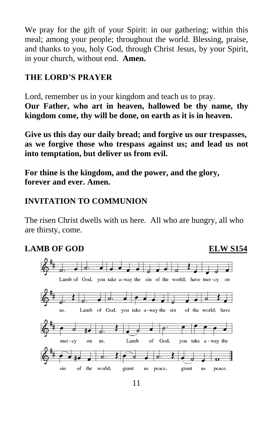We pray for the gift of your Spirit: in our gathering; within this meal; among your people; throughout the world. Blessing, praise, and thanks to you, holy God, through Christ Jesus, by your Spirit, in your church, without end. **Amen.**

# **THE LORD'S PRAYER**

Lord, remember us in your kingdom and teach us to pray. **Our Father, who art in heaven, hallowed be thy name, thy kingdom come, thy will be done, on earth as it is in heaven.**

**Give us this day our daily bread; and forgive us our trespasses, as we forgive those who trespass against us; and lead us not into temptation, but deliver us from evil.**

**For thine is the kingdom, and the power, and the glory, forever and ever. Amen.**

# **INVITATION TO COMMUNION**

The risen Christ dwells with us here. All who are hungry, all who are thirsty, come.

# **LAMB OF GOD ELW S154**